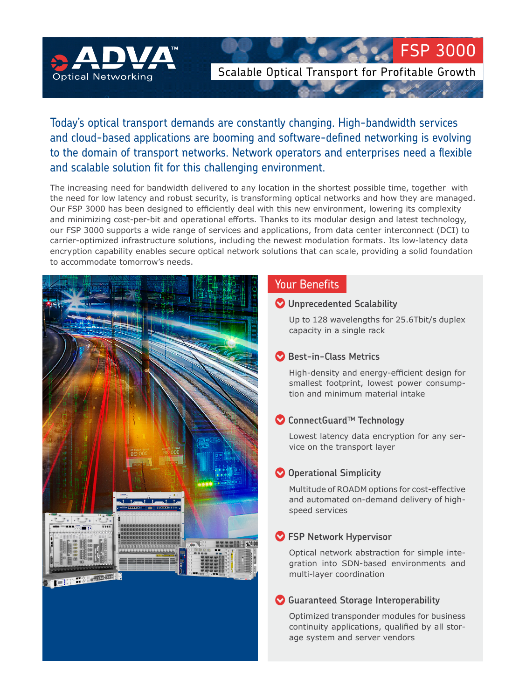

Scalable Optical Transport for Profitable Growth

FSP 3000

# Today's optical transport demands are constantly changing. High-bandwidth services and cloud-based applications are booming and software-defined networking is evolving to the domain of transport networks. Network operators and enterprises need a flexible and scalable solution fit for this challenging environment.

The increasing need for bandwidth delivered to any location in the shortest possible time, together with the need for low latency and robust security, is transforming optical networks and how they are managed. Our FSP 3000 has been designed to efficiently deal with this new environment, lowering its complexity and minimizing cost-per-bit and operational efforts. Thanks to its modular design and latest technology, our FSP 3000 supports a wide range of services and applications, from data center interconnect (DCI) to carrier-optimized infrastructure solutions, including the newest modulation formats. Its low-latency data encryption capability enables secure optical network solutions that can scale, providing a solid foundation to accommodate tomorrow's needs.



## Your Benefits

#### **Unprecedented Scalability**

Up to 128 wavelengths for 25.6Tbit/s duplex capacity in a single rack

### **Best-in-Class Metrics**

High-density and energy-efficient design for smallest footprint, lowest power consumption and minimum material intake

## **ConnectGuard™ Technology**

Lowest latency data encryption for any service on the transport layer

### **O** Operational Simplicity

Multitude of ROADM options for cost-effective and automated on-demand delivery of highspeed services

### **FSP Network Hypervisor**

Optical network abstraction for simple integration into SDN-based environments and multi-layer coordination

### **Guaranteed Storage Interoperability**

Optimized transponder modules for business continuity applications, qualified by all storage system and server vendors